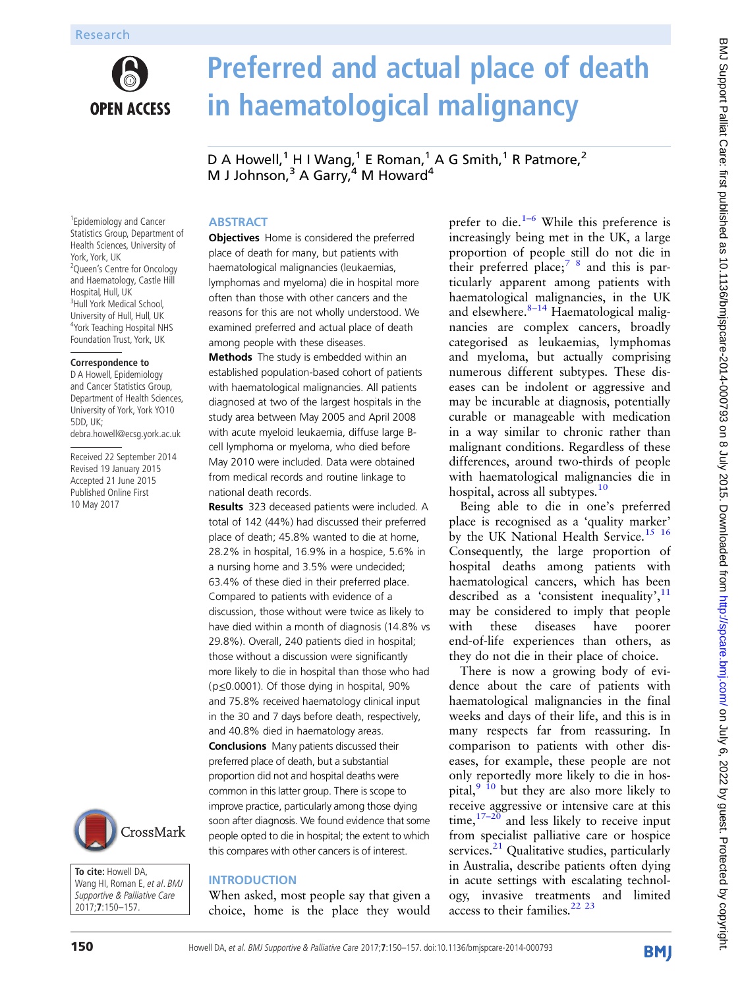

# Preferred and actual place of death in haematological malignancy

D A Howell,<sup>1</sup> H I Wang,<sup>1</sup> E Roman,<sup>1</sup> A G Smith,<sup>1</sup> R Patmore,<sup>2</sup> M J Johnson, $3 \text{ A Garry}$ , M Howard<sup>4</sup>

1 Epidemiology and Cancer Statistics Group, Department of Health Sciences, University of York, York, UK <sup>2</sup>Queen's Centre for Oncology and Haematology, Castle Hill Hospital, Hull, UK <sup>3</sup>Hull York Medical School, University of Hull, Hull, UK 4 York Teaching Hospital NHS Foundation Trust, York, UK

#### **Correspondence to**

D A Howell, Epidemiology and Cancer Statistics Group, Department of Health Sciences, University of York, York YO10 5DD, UK; debra.howell@ecsg.york.ac.uk

Received 22 September 2014 Revised 19 January 2015 Accepted 21 June 2015 Published Online First 10 May 2017



**To cite:** Howell DA, Wang HI, Roman E, et al. BMJ Supportive & Palliative Care 2017;**7**:150–157.

## **ABSTRACT**

**Objectives** Home is considered the preferred place of death for many, but patients with haematological malignancies (leukaemias, lymphomas and myeloma) die in hospital more often than those with other cancers and the reasons for this are not wholly understood. We examined preferred and actual place of death among people with these diseases.

Methods The study is embedded within an established population-based cohort of patients with haematological malignancies. All patients diagnosed at two of the largest hospitals in the study area between May 2005 and April 2008 with acute myeloid leukaemia, diffuse large Bcell lymphoma or myeloma, who died before May 2010 were included. Data were obtained from medical records and routine linkage to national death records.

Results 323 deceased patients were included. A total of 142 (44%) had discussed their preferred place of death; 45.8% wanted to die at home, 28.2% in hospital, 16.9% in a hospice, 5.6% in a nursing home and 3.5% were undecided; 63.4% of these died in their preferred place. Compared to patients with evidence of a discussion, those without were twice as likely to have died within a month of diagnosis (14.8% vs 29.8%). Overall, 240 patients died in hospital; those without a discussion were significantly more likely to die in hospital than those who had (p≤0.0001). Of those dying in hospital, 90% and 75.8% received haematology clinical input in the 30 and 7 days before death, respectively, and 40.8% died in haematology areas. Conclusions Many patients discussed their preferred place of death, but a substantial proportion did not and hospital deaths were common in this latter group. There is scope to improve practice, particularly among those dying soon after diagnosis. We found evidence that some people opted to die in hospital; the extent to which this compares with other cancers is of interest.

# **INTRODUCTION**

When asked, most people say that given a choice, home is the place they would prefer to die. $1-6$  $1-6$  While this preference is increasingly being met in the UK, a large proportion of people still do not die in their preferred place;<sup>7</sup>  $\frac{8}{3}$  and this is particularly apparent among patients with haematological malignancies, in the UK and elsewhere. $8-14$  $8-14$  Haematological malignancies are complex cancers, broadly categorised as leukaemias, lymphomas and myeloma, but actually comprising numerous different subtypes. These diseases can be indolent or aggressive and may be incurable at diagnosis, potentially curable or manageable with medication in a way similar to chronic rather than malignant conditions. Regardless of these differences, around two-thirds of people with haematological malignancies die in hospital, across all subtypes.<sup>[10](#page-6-0)</sup>

Being able to die in one's preferred place is recognised as a 'quality marker' by the UK National Health Service.<sup>15</sup> <sup>16</sup> Consequently, the large proportion of hospital deaths among patients with haematological cancers, which has been described as a 'consistent inequality', <sup>[11](#page-6-0)</sup> may be considered to imply that people with these diseases have poorer end-of-life experiences than others, as they do not die in their place of choice.

There is now a growing body of evidence about the care of patients with haematological malignancies in the final weeks and days of their life, and this is in many respects far from reassuring. In comparison to patients with other diseases, for example, these people are not only reportedly more likely to die in hospital, $\frac{9}{10}$  but they are also more likely to receive aggressive or intensive care at this time,  $17-20$  $17-20$  and less likely to receive input from specialist palliative care or hospice services.<sup>[21](#page-7-0)</sup> Qualitative studies, particularly in Australia, describe patients often dying in acute settings with escalating technology, invasive treatments and limited access to their families.<sup>22</sup> <sup>23</sup>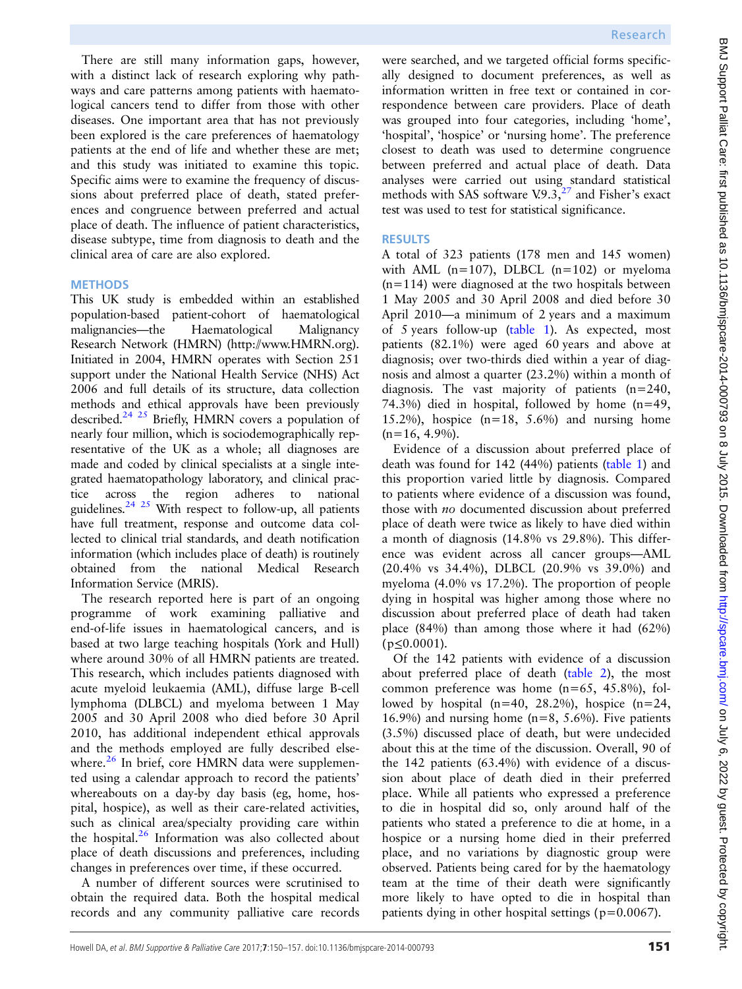There are still many information gaps, however, with a distinct lack of research exploring why pathways and care patterns among patients with haematological cancers tend to differ from those with other diseases. One important area that has not previously been explored is the care preferences of haematology patients at the end of life and whether these are met; and this study was initiated to examine this topic. Specific aims were to examine the frequency of discussions about preferred place of death, stated preferences and congruence between preferred and actual place of death. The influence of patient characteristics, disease subtype, time from diagnosis to death and the clinical area of care are also explored.

## **METHODS**

This UK study is embedded within an established population-based patient-cohort of haematological malignancies—the Haematological Malignancy Research Network (HMRN) [\(http://www.HMRN.org\)](http://www.HMRN.org). Initiated in 2004, HMRN operates with Section 251 support under the National Health Service (NHS) Act 2006 and full details of its structure, data collection methods and ethical approvals have been previously described.<sup>24 25</sup> Briefly, HMRN covers a population of nearly four million, which is sociodemographically representative of the UK as a whole; all diagnoses are made and coded by clinical specialists at a single integrated haematopathology laboratory, and clinical practice across the region adheres to national guidelines. $24$   $25$  With respect to follow-up, all patients have full treatment, response and outcome data collected to clinical trial standards, and death notification information (which includes place of death) is routinely obtained from the national Medical Research Information Service (MRIS).

The research reported here is part of an ongoing programme of work examining palliative and end-of-life issues in haematological cancers, and is based at two large teaching hospitals (York and Hull) where around 30% of all HMRN patients are treated. This research, which includes patients diagnosed with acute myeloid leukaemia (AML), diffuse large B-cell lymphoma (DLBCL) and myeloma between 1 May 2005 and 30 April 2008 who died before 30 April 2010, has additional independent ethical approvals and the methods employed are fully described else-where.<sup>[26](#page-7-0)</sup> In brief, core HMRN data were supplemented using a calendar approach to record the patients' whereabouts on a day-by day basis (eg, home, hospital, hospice), as well as their care-related activities, such as clinical area/specialty providing care within the hospital. $^{26}$  $^{26}$  $^{26}$  Information was also collected about place of death discussions and preferences, including changes in preferences over time, if these occurred.

A number of different sources were scrutinised to obtain the required data. Both the hospital medical records and any community palliative care records were searched, and we targeted official forms specifically designed to document preferences, as well as information written in free text or contained in correspondence between care providers. Place of death was grouped into four categories, including 'home', 'hospital', 'hospice' or 'nursing home'. The preference closest to death was used to determine congruence between preferred and actual place of death. Data analyses were carried out using standard statistical methods with SAS software  $V.9.3$ <sup>[27](#page-7-0)</sup> and Fisher's exact test was used to test for statistical significance.

## **RESULTS**

A total of 323 patients (178 men and 145 women) with AML ( $n=107$ ), DLBCL ( $n=102$ ) or myeloma (n=114) were diagnosed at the two hospitals between 1 May 2005 and 30 April 2008 and died before 30 April 2010—a minimum of 2 years and a maximum of 5 years follow-up [\(table 1\)](#page-2-0). As expected, most patients (82.1%) were aged 60 years and above at diagnosis; over two-thirds died within a year of diagnosis and almost a quarter (23.2%) within a month of diagnosis. The vast majority of patients (n=240, 74.3%) died in hospital, followed by home (n=49, 15.2%), hospice  $(n=18, 5.6%)$  and nursing home  $(n=16, 4.9\%)$ .

Evidence of a discussion about preferred place of death was found for 142 (44%) patients ([table 1](#page-2-0)) and this proportion varied little by diagnosis. Compared to patients where evidence of a discussion was found, those with no documented discussion about preferred place of death were twice as likely to have died within a month of diagnosis (14.8% vs 29.8%). This difference was evident across all cancer groups—AML (20.4% vs 34.4%), DLBCL (20.9% vs 39.0%) and myeloma (4.0% vs 17.2%). The proportion of people dying in hospital was higher among those where no discussion about preferred place of death had taken place (84%) than among those where it had (62%)  $(p \le 0.0001)$ .

Of the 142 patients with evidence of a discussion about preferred place of death ([table 2](#page-3-0)), the most common preference was home  $(n=65, 45.8\%)$ , followed by hospital  $(n=40, 28.2\%)$ , hospice  $(n=24, 10.2\%)$ 16.9%) and nursing home ( $n=8$ , 5.6%). Five patients (3.5%) discussed place of death, but were undecided about this at the time of the discussion. Overall, 90 of the 142 patients (63.4%) with evidence of a discussion about place of death died in their preferred place. While all patients who expressed a preference to die in hospital did so, only around half of the patients who stated a preference to die at home, in a hospice or a nursing home died in their preferred place, and no variations by diagnostic group were observed. Patients being cared for by the haematology team at the time of their death were significantly more likely to have opted to die in hospital than patients dying in other hospital settings ( $p=0.0067$ ).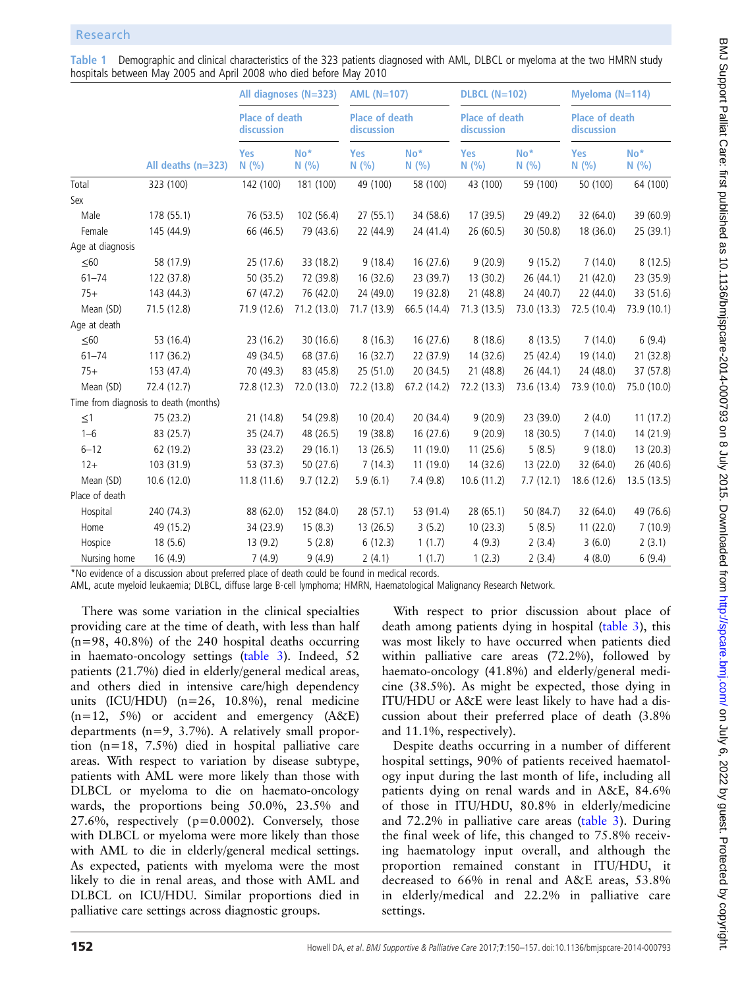<span id="page-2-0"></span>Table 1 Demographic and clinical characteristics of the 323 patients diagnosed with AML, DLBCL or myeloma at the two HMRN study hospitals between May 2005 and April 2008 who died before May 2010

|                  |                                       | All diagnoses (N=323)<br><b>Place of death</b><br>discussion |               | AML $(N=107)$<br><b>Place of death</b><br>discussion |                | <b>DLBCL (N=102)</b><br><b>Place of death</b><br>discussion |               | Myeloma (N=114)<br><b>Place of death</b><br>discussion |             |
|------------------|---------------------------------------|--------------------------------------------------------------|---------------|------------------------------------------------------|----------------|-------------------------------------------------------------|---------------|--------------------------------------------------------|-------------|
|                  | All deaths $(n=323)$                  |                                                              |               |                                                      |                |                                                             |               |                                                        |             |
|                  |                                       | Yes<br>N(%)                                                  | $No*$<br>N(%) | Yes<br>N(%)                                          | $No*$<br>N(% ) | Yes<br>N(%)                                                 | $No*$<br>N(%) | <b>Yes</b><br>N(%)                                     | No*<br>N(%) |
| Total            | 323 (100)                             | 142 (100)                                                    | 181 (100)     | 49 (100)                                             | 58 (100)       | 43 (100)                                                    | 59 (100)      | 50 (100)                                               | 64 (100)    |
| Sex              |                                       |                                                              |               |                                                      |                |                                                             |               |                                                        |             |
| Male             | 178 (55.1)                            | 76 (53.5)                                                    | 102 (56.4)    | 27(55.1)                                             | 34 (58.6)      | 17 (39.5)                                                   | 29 (49.2)     | 32 (64.0)                                              | 39 (60.9)   |
| Female           | 145 (44.9)                            | 66 (46.5)                                                    | 79 (43.6)     | 22 (44.9)                                            | 24 (41.4)      | 26 (60.5)                                                   | 30 (50.8)     | 18 (36.0)                                              | 25 (39.1)   |
| Age at diagnosis |                                       |                                                              |               |                                                      |                |                                                             |               |                                                        |             |
| $\leq 60$        | 58 (17.9)                             | 25 (17.6)                                                    | 33 (18.2)     | 9(18.4)                                              | 16(27.6)       | 9(20.9)                                                     | 9(15.2)       | 7(14.0)                                                | 8(12.5)     |
| $61 - 74$        | 122 (37.8)                            | 50 (35.2)                                                    | 72 (39.8)     | 16(32.6)                                             | 23 (39.7)      | 13(30.2)                                                    | 26 (44.1)     | 21(42.0)                                               | 23 (35.9)   |
| $75+$            | 143 (44.3)                            | 67(47.2)                                                     | 76 (42.0)     | 24 (49.0)                                            | 19 (32.8)      | 21 (48.8)                                                   | 24 (40.7)     | 22 (44.0)                                              | 33 (51.6)   |
| Mean (SD)        | 71.5 (12.8)                           | 71.9 (12.6)                                                  | 71.2 (13.0)   | 71.7 (13.9)                                          | 66.5 (14.4)    | 71.3 (13.5)                                                 | 73.0 (13.3)   | 72.5 (10.4)                                            | 73.9 (10.1) |
| Age at death     |                                       |                                                              |               |                                                      |                |                                                             |               |                                                        |             |
| $\leq 60$        | 53 (16.4)                             | 23 (16.2)                                                    | 30(16.6)      | 8(16.3)                                              | 16 (27.6)      | 8(18.6)                                                     | 8(13.5)       | 7(14.0)                                                | 6(9.4)      |
| $61 - 74$        | 117 (36.2)                            | 49 (34.5)                                                    | 68 (37.6)     | 16(32.7)                                             | 22 (37.9)      | 14 (32.6)                                                   | 25 (42.4)     | 19 (14.0)                                              | 21 (32.8)   |
| $75+$            | 153 (47.4)                            | 70 (49.3)                                                    | 83 (45.8)     | 25 (51.0)                                            | 20(34.5)       | 21(48.8)                                                    | 26 (44.1)     | 24 (48.0)                                              | 37 (57.8)   |
| Mean (SD)        | 72.4 (12.7)                           | 72.8 (12.3)                                                  | 72.0 (13.0)   | 72.2 (13.8)                                          | 67.2 (14.2)    | 72.2 (13.3)                                                 | 73.6 (13.4)   | 73.9 (10.0)                                            | 75.0 (10.0) |
|                  | Time from diagnosis to death (months) |                                                              |               |                                                      |                |                                                             |               |                                                        |             |
| $\leq$ 1         | 75 (23.2)                             | 21 (14.8)                                                    | 54 (29.8)     | 10(20.4)                                             | 20 (34.4)      | 9(20.9)                                                     | 23 (39.0)     | 2(4.0)                                                 | 11(17.2)    |
| $1 - 6$          | 83 (25.7)                             | 35 (24.7)                                                    | 48 (26.5)     | 19 (38.8)                                            | 16 (27.6)      | 9(20.9)                                                     | 18 (30.5)     | 7(14.0)                                                | 14 (21.9)   |
| $6 - 12$         | 62 (19.2)                             | 33 (23.2)                                                    | 29(16.1)      | 13(26.5)                                             | 11(19.0)       | 11(25.6)                                                    | 5(8.5)        | 9(18.0)                                                | 13(20.3)    |
| $12+$            | 103 (31.9)                            | 53 (37.3)                                                    | 50 $(27.6)$   | 7(14.3)                                              | 11(19.0)       | 14 (32.6)                                                   | 13 (22.0)     | 32 (64.0)                                              | 26 (40.6)   |
| Mean (SD)        | 10.6(12.0)                            | 11.8(11.6)                                                   | 9.7(12.2)     | 5.9(6.1)                                             | 7.4(9.8)       | 10.6(11.2)                                                  | 7.7(12.1)     | 18.6 (12.6)                                            | 13.5 (13.5) |
| Place of death   |                                       |                                                              |               |                                                      |                |                                                             |               |                                                        |             |
| Hospital         | 240 (74.3)                            | 88 (62.0)                                                    | 152 (84.0)    | 28 (57.1)                                            | 53 (91.4)      | 28 (65.1)                                                   | 50 (84.7)     | 32 (64.0)                                              | 49 (76.6)   |
| Home             | 49 (15.2)                             | 34 (23.9)                                                    | 15(8.3)       | 13(26.5)                                             | 3(5.2)         | 10(23.3)                                                    | 5(8.5)        | 11(22.0)                                               | 7(10.9)     |
| Hospice          | 18(5.6)                               | 13(9.2)                                                      | 5(2.8)        | 6(12.3)                                              | 1(1.7)         | 4(9.3)                                                      | 2(3.4)        | 3(6.0)                                                 | 2(3.1)      |
| Nursing home     | 16(4.9)                               | 7(4.9)                                                       | 9(4.9)        | 2(4.1)                                               | 1(1.7)         | 1(2.3)                                                      | 2(3.4)        | 4(8.0)                                                 | 6(9.4)      |

\*No evidence of a discussion about preferred place of death could be found in medical records.

AML, acute myeloid leukaemia; DLBCL, diffuse large B-cell lymphoma; HMRN, Haematological Malignancy Research Network.

There was some variation in the clinical specialties providing care at the time of death, with less than half (n=98, 40.8%) of the 240 hospital deaths occurring in haemato-oncology settings ([table 3\)](#page-4-0). Indeed, 52 patients (21.7%) died in elderly/general medical areas, and others died in intensive care/high dependency units (ICU/HDU) (n=26, 10.8%), renal medicine  $(n=12, 5\%)$  or accident and emergency  $(A \& E)$ departments  $(n=9, 3.7%)$ . A relatively small proportion (n=18, 7.5%) died in hospital palliative care areas. With respect to variation by disease subtype, patients with AML were more likely than those with DLBCL or myeloma to die on haemato-oncology wards, the proportions being 50.0%, 23.5% and 27.6%, respectively (p=0.0002). Conversely, those with DLBCL or myeloma were more likely than those with AML to die in elderly/general medical settings. As expected, patients with myeloma were the most likely to die in renal areas, and those with AML and DLBCL on ICU/HDU. Similar proportions died in palliative care settings across diagnostic groups.

With respect to prior discussion about place of death among patients dying in hospital ([table 3\)](#page-4-0), this was most likely to have occurred when patients died within palliative care areas (72.2%), followed by haemato-oncology (41.8%) and elderly/general medicine (38.5%). As might be expected, those dying in ITU/HDU or A&E were least likely to have had a discussion about their preferred place of death (3.8% and 11.1%, respectively).

Despite deaths occurring in a number of different hospital settings, 90% of patients received haematology input during the last month of life, including all patients dying on renal wards and in A&E, 84.6% of those in ITU/HDU, 80.8% in elderly/medicine and 72.2% in palliative care areas ([table 3\)](#page-4-0). During the final week of life, this changed to 75.8% receiving haematology input overall, and although the proportion remained constant in ITU/HDU, it decreased to 66% in renal and A&E areas, 53.8% in elderly/medical and 22.2% in palliative care settings.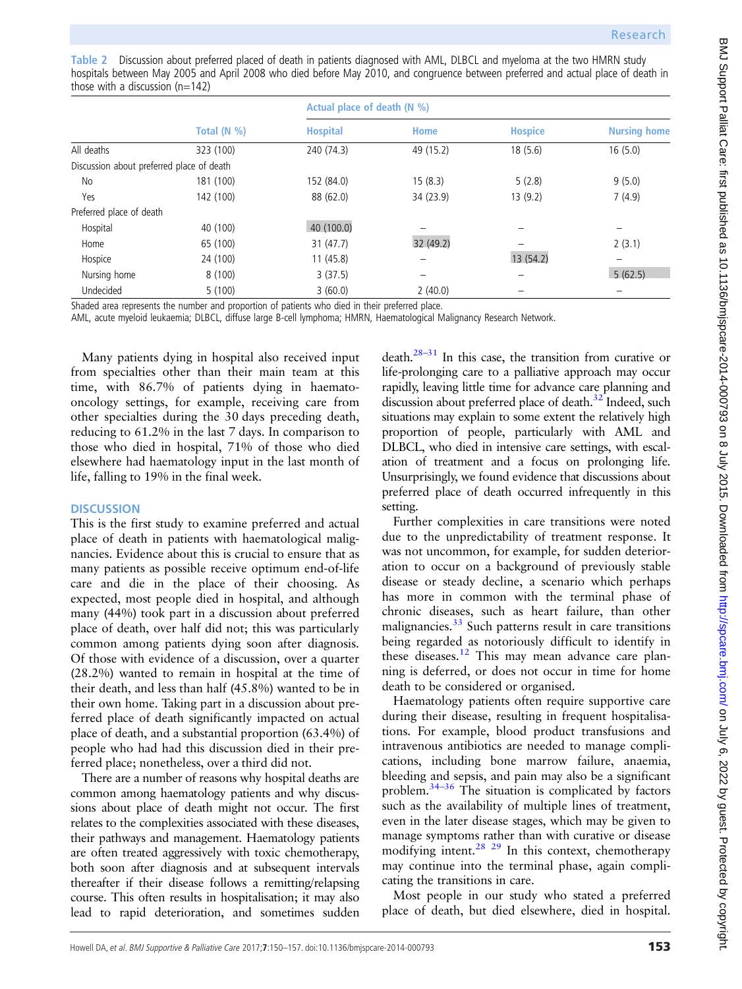<span id="page-3-0"></span>Table 2 Discussion about preferred placed of death in patients diagnosed with AML, DLBCL and myeloma at the two HMRN study hospitals between May 2005 and April 2008 who died before May 2010, and congruence between preferred and actual place of death in those with a discussion ( $n=142$ )

|                                           |                 | Actual place of death (N %) |             |                |                          |  |  |  |
|-------------------------------------------|-----------------|-----------------------------|-------------|----------------|--------------------------|--|--|--|
|                                           | Total $(N \% )$ | <b>Hospital</b>             | <b>Home</b> | <b>Hospice</b> | <b>Nursing home</b>      |  |  |  |
| All deaths                                | 323 (100)       | 240 (74.3)                  | 49 (15.2)   | 18(5.6)        | 16(5.0)                  |  |  |  |
| Discussion about preferred place of death |                 |                             |             |                |                          |  |  |  |
| No                                        | 181 (100)       | 152 (84.0)                  | 15(8.3)     | 5(2.8)         | 9(5.0)                   |  |  |  |
| Yes                                       | 142 (100)       | 88 (62.0)                   | 34 (23.9)   | 13(9.2)        | 7(4.9)                   |  |  |  |
| Preferred place of death                  |                 |                             |             |                |                          |  |  |  |
| Hospital                                  | 40 (100)        | 40 (100.0)                  |             |                |                          |  |  |  |
| Home                                      | 65 (100)        | 31(47.7)                    | 32 (49.2)   |                | 2(3.1)                   |  |  |  |
| Hospice                                   | 24 (100)        | 11(45.8)                    |             | 13(54.2)       | $\overline{\phantom{0}}$ |  |  |  |
| Nursing home                              | 8(100)          | 3(37.5)                     |             |                | 5(62.5)                  |  |  |  |
| Undecided                                 | 5(100)          | 3(60.0)                     | 2(40.0)     |                |                          |  |  |  |

Shaded area represents the number and proportion of patients who died in their preferred place.

AML, acute myeloid leukaemia; DLBCL, diffuse large B-cell lymphoma; HMRN, Haematological Malignancy Research Network.

Many patients dying in hospital also received input from specialties other than their main team at this time, with 86.7% of patients dying in haematooncology settings, for example, receiving care from other specialties during the 30 days preceding death, reducing to 61.2% in the last 7 days. In comparison to those who died in hospital, 71% of those who died elsewhere had haematology input in the last month of life, falling to 19% in the final week.

## **DISCUSSION**

This is the first study to examine preferred and actual place of death in patients with haematological malignancies. Evidence about this is crucial to ensure that as many patients as possible receive optimum end-of-life care and die in the place of their choosing. As expected, most people died in hospital, and although many (44%) took part in a discussion about preferred place of death, over half did not; this was particularly common among patients dying soon after diagnosis. Of those with evidence of a discussion, over a quarter (28.2%) wanted to remain in hospital at the time of their death, and less than half (45.8%) wanted to be in their own home. Taking part in a discussion about preferred place of death significantly impacted on actual place of death, and a substantial proportion (63.4%) of people who had had this discussion died in their preferred place; nonetheless, over a third did not.

There are a number of reasons why hospital deaths are common among haematology patients and why discussions about place of death might not occur. The first relates to the complexities associated with these diseases, their pathways and management. Haematology patients are often treated aggressively with toxic chemotherapy, both soon after diagnosis and at subsequent intervals thereafter if their disease follows a remitting/relapsing course. This often results in hospitalisation; it may also lead to rapid deterioration, and sometimes sudden

death. $28-31$  $28-31$  In this case, the transition from curative or life-prolonging care to a palliative approach may occur rapidly, leaving little time for advance care planning and discussion about preferred place of death.<sup>32</sup> Indeed, such situations may explain to some extent the relatively high proportion of people, particularly with AML and DLBCL, who died in intensive care settings, with escalation of treatment and a focus on prolonging life. Unsurprisingly, we found evidence that discussions about preferred place of death occurred infrequently in this setting.

Further complexities in care transitions were noted due to the unpredictability of treatment response. It was not uncommon, for example, for sudden deterioration to occur on a background of previously stable disease or steady decline, a scenario which perhaps has more in common with the terminal phase of chronic diseases, such as heart failure, than other malignancies. $33$  Such patterns result in care transitions being regarded as notoriously difficult to identify in these diseases. $12$  This may mean advance care planning is deferred, or does not occur in time for home death to be considered or organised.

Haematology patients often require supportive care during their disease, resulting in frequent hospitalisations. For example, blood product transfusions and intravenous antibiotics are needed to manage complications, including bone marrow failure, anaemia, bleeding and sepsis, and pain may also be a significant problem.34–[36](#page-7-0) The situation is complicated by factors such as the availability of multiple lines of treatment, even in the later disease stages, which may be given to manage symptoms rather than with curative or disease modifying intent.<sup>[28 29](#page-7-0)</sup> In this context, chemotherapy may continue into the terminal phase, again complicating the transitions in care.

Most people in our study who stated a preferred place of death, but died elsewhere, died in hospital.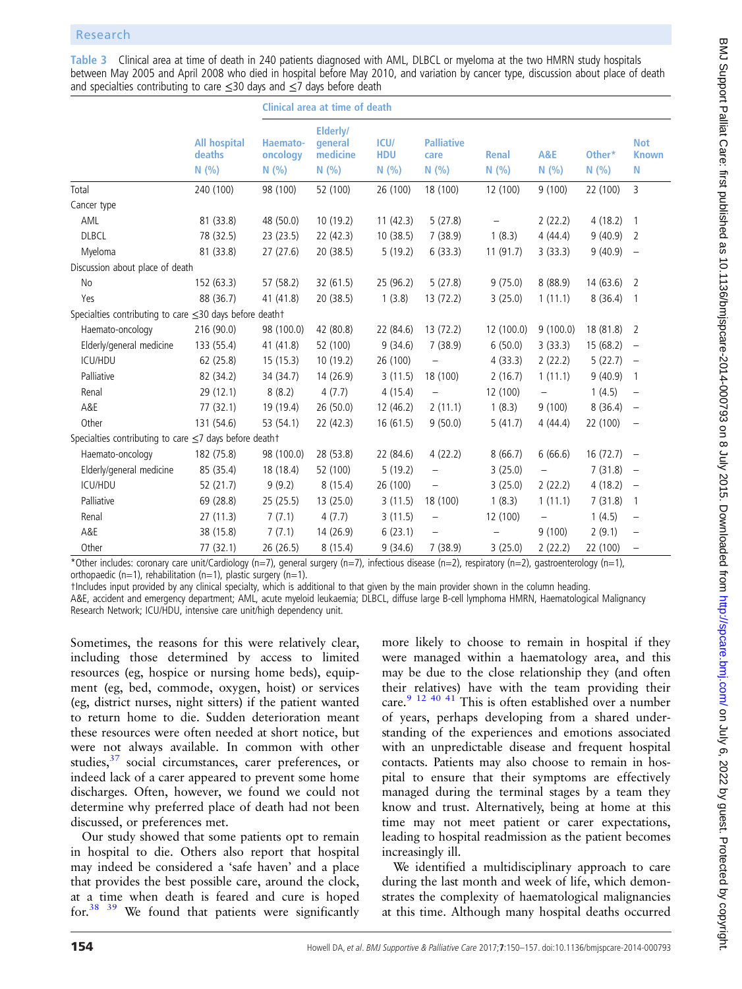<span id="page-4-0"></span>Table 3 Clinical area at time of death in 240 patients diagnosed with AML, DLBCL or myeloma at the two HMRN study hospitals between May 2005 and April 2008 who died in hospital before May 2010, and variation by cancer type, discussion about place of death and specialties contributing to care ≤30 days and ≤7 days before death

|                                                               | <b>All hospital</b><br>deaths<br>N(% ) | Clinical area at time of death |                                        |                           |                                    |                   |                          |               |                                 |
|---------------------------------------------------------------|----------------------------------------|--------------------------------|----------------------------------------|---------------------------|------------------------------------|-------------------|--------------------------|---------------|---------------------------------|
|                                                               |                                        | Haemato-<br>oncology<br>N(%    | Elderly/<br>general<br>medicine<br>N(% | ICU/<br><b>HDU</b><br>N(% | <b>Palliative</b><br>care<br>N(% ) | Renal<br>N(%)     | A&E<br>N(% )             | Other*<br>N(% | <b>Not</b><br><b>Known</b><br>N |
| Total                                                         | 240 (100)                              | 98 (100)                       | 52 (100)                               | 26 (100)                  | 18 (100)                           | 12 (100)          | 9(100)                   | 22 (100)      | 3                               |
| Cancer type                                                   |                                        |                                |                                        |                           |                                    |                   |                          |               |                                 |
| AML                                                           | 81 (33.8)                              | 48 (50.0)                      | 10(19.2)                               | 11(42.3)                  | 5(27.8)                            | $\qquad \qquad -$ | 2(22.2)                  | 4(18.2)       | $\overline{1}$                  |
| <b>DLBCL</b>                                                  | 78 (32.5)                              | 23 (23.5)                      | 22 (42.3)                              | 10(38.5)                  | 7(38.9)                            | 1(8.3)            | 4(44.4)                  | 9(40.9)       | 2                               |
| Myeloma                                                       | 81 (33.8)                              | 27(27.6)                       | 20 (38.5)                              | 5(19.2)                   | 6(33.3)                            | 11(91.7)          | 3(33.3)                  | 9(40.9)       | $\overline{\phantom{a}}$        |
| Discussion about place of death                               |                                        |                                |                                        |                           |                                    |                   |                          |               |                                 |
| No                                                            | 152 (63.3)                             | 57 (58.2)                      | 32 (61.5)                              | 25 (96.2)                 | 5(27.8)                            | 9(75.0)           | 8(88.9)                  | 14 (63.6)     | 2                               |
| Yes                                                           | 88 (36.7)                              | 41 (41.8)                      | 20(38.5)                               | 1(3.8)                    | 13 (72.2)                          | 3(25.0)           | 1(11.1)                  | 8(36.4)       | $\mathbf{1}$                    |
| Specialties contributing to care ≤30 days before death†       |                                        |                                |                                        |                           |                                    |                   |                          |               |                                 |
| Haemato-oncology                                              | 216 (90.0)                             | 98 (100.0)                     | 42 (80.8)                              | 22 (84.6)                 | 13 (72.2)                          | 12(100.0)         | 9(100.0)                 | 18 (81.8)     | 2                               |
| Elderly/general medicine                                      | 133 (55.4)                             | 41 (41.8)                      | 52 (100)                               | 9(34.6)                   | 7(38.9)                            | 6(50.0)           | 3(33.3)                  | 15 (68.2)     | $\overline{\phantom{a}}$        |
| <b>ICU/HDU</b>                                                | 62 (25.8)                              | 15(15.3)                       | 10 (19.2)                              | 26 (100)                  | $\qquad \qquad -$                  | 4(33.3)           | 2(22.2)                  | 5(22.7)       | $\overline{\phantom{a}}$        |
| Palliative                                                    | 82 (34.2)                              | 34 (34.7)                      | 14 (26.9)                              | 3(11.5)                   | 18 (100)                           | 2(16.7)           | 1(11.1)                  | 9(40.9)       | 1                               |
| Renal                                                         | 29 (12.1)                              | 8(8.2)                         | 4(7.7)                                 | 4(15.4)                   | $\qquad \qquad -$                  | 12 (100)          | $\qquad \qquad -$        | 1(4.5)        | $\overline{\phantom{m}}$        |
| A&E                                                           | 77 (32.1)                              | 19 (19.4)                      | 26(50.0)                               | 12(46.2)                  | 2(11.1)                            | 1(8.3)            | 9(100)                   | 8(36.4)       | $\overline{\phantom{a}}$        |
| Other                                                         | 131 (54.6)                             | 53 (54.1)                      | 22 (42.3)                              | 16(61.5)                  | 9(50.0)                            | 5(41.7)           | 4(44.4)                  | 22 (100)      | $\overline{\phantom{m}}$        |
| Specialties contributing to care $\leq$ 7 days before death t |                                        |                                |                                        |                           |                                    |                   |                          |               |                                 |
| Haemato-oncology                                              | 182 (75.8)                             | 98 (100.0)                     | 28 (53.8)                              | 22 (84.6)                 | 4(22.2)                            | 8(66.7)           | 6(66.6)                  | 16 (72.7)     | $\overline{\phantom{a}}$        |
| Elderly/general medicine                                      | 85 (35.4)                              | 18 (18.4)                      | 52 (100)                               | 5(19.2)                   | $\qquad \qquad -$                  | 3(25.0)           | $\overline{\phantom{0}}$ | 7(31.8)       | $\overline{\phantom{a}}$        |
| <b>ICU/HDU</b>                                                | 52 (21.7)                              | 9(9.2)                         | 8(15.4)                                | 26 (100)                  | $\qquad \qquad -$                  | 3(25.0)           | 2(22.2)                  | 4(18.2)       | $\overline{\phantom{a}}$        |
| Palliative                                                    | 69 (28.8)                              | 25 (25.5)                      | 13 (25.0)                              | 3(11.5)                   | 18 (100)                           | 1(8.3)            | 1(11.1)                  | 7(31.8)       | $\mathbf{1}$                    |
| Renal                                                         | 27(11.3)                               | 7(7.1)                         | 4(7.7)                                 | 3(11.5)                   | $\qquad \qquad -$                  | 12 (100)          | $\qquad \qquad -$        | 1(4.5)        | $\overline{\phantom{m}}$        |
| A&E                                                           | 38 (15.8)                              | 7(7.1)                         | 14 (26.9)                              | 6(23.1)                   | $\overline{\phantom{0}}$           |                   | 9(100)                   | 2(9.1)        | $\overline{\phantom{m}}$        |
| Other                                                         | 77 (32.1)                              | 26 (26.5)                      | 8(15.4)                                | 9(34.6)                   | 7(38.9)                            | 3(25.0)           | 2(22.2)                  | 22 (100)      | $\qquad \qquad -$               |

\*Other includes: coronary care unit/Cardiology (n=7), general surgery (n=7), infectious disease (n=2), respiratory (n=2), gastroenterology (n=1), orthopaedic (n=1), rehabilitation (n=1), plastic surgery (n=1).

†Includes input provided by any clinical specialty, which is additional to that given by the main provider shown in the column heading.

A&E, accident and emergency department; AML, acute myeloid leukaemia; DLBCL, diffuse large B-cell lymphoma HMRN, Haematological Malignancy Research Network; ICU/HDU, intensive care unit/high dependency unit.

Sometimes, the reasons for this were relatively clear, including those determined by access to limited resources (eg, hospice or nursing home beds), equipment (eg, bed, commode, oxygen, hoist) or services (eg, district nurses, night sitters) if the patient wanted to return home to die. Sudden deterioration meant these resources were often needed at short notice, but were not always available. In common with other studies,<sup>[37](#page-7-0)</sup> social circumstances, carer preferences, or indeed lack of a carer appeared to prevent some home discharges. Often, however, we found we could not determine why preferred place of death had not been discussed, or preferences met.

Our study showed that some patients opt to remain in hospital to die. Others also report that hospital may indeed be considered a 'safe haven' and a place that provides the best possible care, around the clock, at a time when death is feared and cure is hoped for. $38$   $39$  We found that patients were significantly

more likely to choose to remain in hospital if they were managed within a haematology area, and this may be due to the close relationship they (and often their relatives) have with the team providing their care.<sup>9</sup> <sup>12</sup> <sup>40</sup> <sup>41</sup> This is often established over a number of years, perhaps developing from a shared understanding of the experiences and emotions associated with an unpredictable disease and frequent hospital contacts. Patients may also choose to remain in hospital to ensure that their symptoms are effectively managed during the terminal stages by a team they know and trust. Alternatively, being at home at this time may not meet patient or carer expectations, leading to hospital readmission as the patient becomes increasingly ill.

We identified a multidisciplinary approach to care during the last month and week of life, which demonstrates the complexity of haematological malignancies at this time. Although many hospital deaths occurred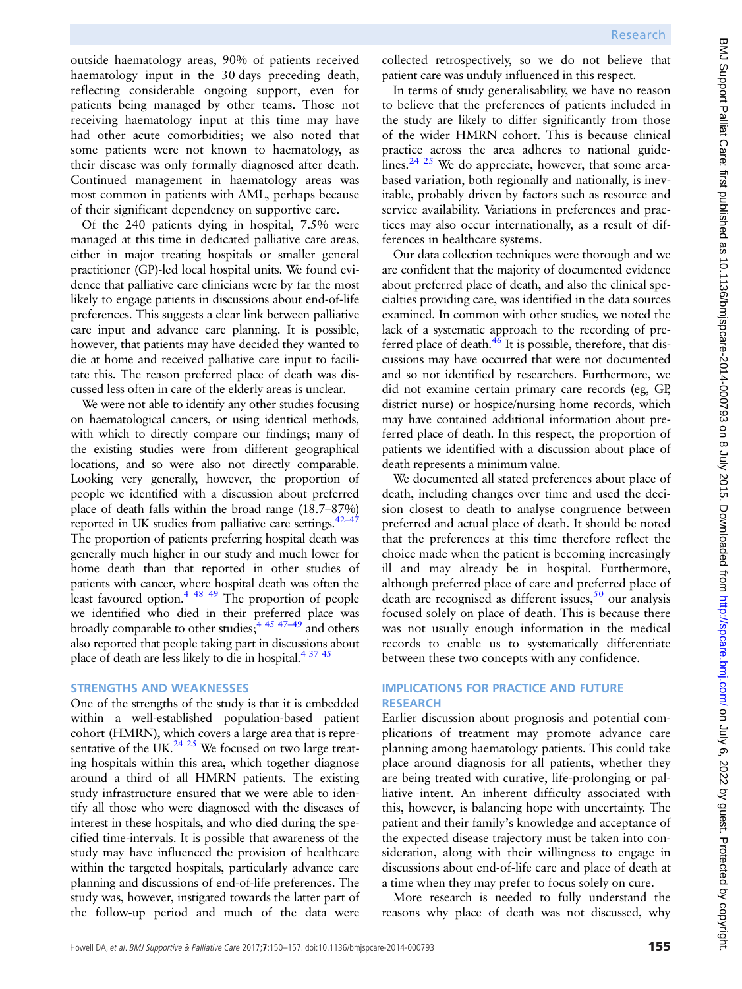outside haematology areas, 90% of patients received haematology input in the 30 days preceding death, reflecting considerable ongoing support, even for patients being managed by other teams. Those not receiving haematology input at this time may have had other acute comorbidities; we also noted that some patients were not known to haematology, as their disease was only formally diagnosed after death. Continued management in haematology areas was most common in patients with AML, perhaps because of their significant dependency on supportive care.

Of the 240 patients dying in hospital, 7.5% were managed at this time in dedicated palliative care areas, either in major treating hospitals or smaller general practitioner (GP)-led local hospital units. We found evidence that palliative care clinicians were by far the most likely to engage patients in discussions about end-of-life preferences. This suggests a clear link between palliative care input and advance care planning. It is possible, however, that patients may have decided they wanted to die at home and received palliative care input to facilitate this. The reason preferred place of death was discussed less often in care of the elderly areas is unclear.

We were not able to identify any other studies focusing on haematological cancers, or using identical methods, with which to directly compare our findings; many of the existing studies were from different geographical locations, and so were also not directly comparable. Looking very generally, however, the proportion of people we identified with a discussion about preferred place of death falls within the broad range (18.7–87%) reported in UK studies from palliative care settings. $42-47$ The proportion of patients preferring hospital death was generally much higher in our study and much lower for home death than that reported in other studies of patients with cancer, where hospital death was often the least favoured option.<sup>[4](#page-6-0) [48 49](#page-7-0)</sup> The proportion of people we identified who died in their preferred place was broadly comparable to other studies;  $44547-49$  and others also reported that people taking part in discussions about place of death are less likely to die in hospital.<sup>[4](#page-6-0) [37 45](#page-7-0)</sup>

## STRENGTHS AND WEAKNESSES

One of the strengths of the study is that it is embedded within a well-established population-based patient cohort (HMRN), which covers a large area that is representative of the UK.<sup>24 25</sup> We focused on two large treating hospitals within this area, which together diagnose around a third of all HMRN patients. The existing study infrastructure ensured that we were able to identify all those who were diagnosed with the diseases of interest in these hospitals, and who died during the specified time-intervals. It is possible that awareness of the study may have influenced the provision of healthcare within the targeted hospitals, particularly advance care planning and discussions of end-of-life preferences. The study was, however, instigated towards the latter part of the follow-up period and much of the data were

collected retrospectively, so we do not believe that patient care was unduly influenced in this respect.

In terms of study generalisability, we have no reason to believe that the preferences of patients included in the study are likely to differ significantly from those of the wider HMRN cohort. This is because clinical practice across the area adheres to national guide-lines.<sup>[24 25](#page-7-0)</sup> We do appreciate, however, that some areabased variation, both regionally and nationally, is inevitable, probably driven by factors such as resource and service availability. Variations in preferences and practices may also occur internationally, as a result of differences in healthcare systems.

Our data collection techniques were thorough and we are confident that the majority of documented evidence about preferred place of death, and also the clinical specialties providing care, was identified in the data sources examined. In common with other studies, we noted the lack of a systematic approach to the recording of preferred place of death. $46$  It is possible, therefore, that discussions may have occurred that were not documented and so not identified by researchers. Furthermore, we did not examine certain primary care records (eg, GP, district nurse) or hospice/nursing home records, which may have contained additional information about preferred place of death. In this respect, the proportion of patients we identified with a discussion about place of death represents a minimum value.

We documented all stated preferences about place of death, including changes over time and used the decision closest to death to analyse congruence between preferred and actual place of death. It should be noted that the preferences at this time therefore reflect the choice made when the patient is becoming increasingly ill and may already be in hospital. Furthermore, although preferred place of care and preferred place of death are recognised as different issues,  $50$  our analysis focused solely on place of death. This is because there was not usually enough information in the medical records to enable us to systematically differentiate between these two concepts with any confidence.

# IMPLICATIONS FOR PRACTICE AND FUTURE **RESEARCH**

Earlier discussion about prognosis and potential complications of treatment may promote advance care planning among haematology patients. This could take place around diagnosis for all patients, whether they are being treated with curative, life-prolonging or palliative intent. An inherent difficulty associated with this, however, is balancing hope with uncertainty. The patient and their family's knowledge and acceptance of the expected disease trajectory must be taken into consideration, along with their willingness to engage in discussions about end-of-life care and place of death at a time when they may prefer to focus solely on cure.

More research is needed to fully understand the reasons why place of death was not discussed, why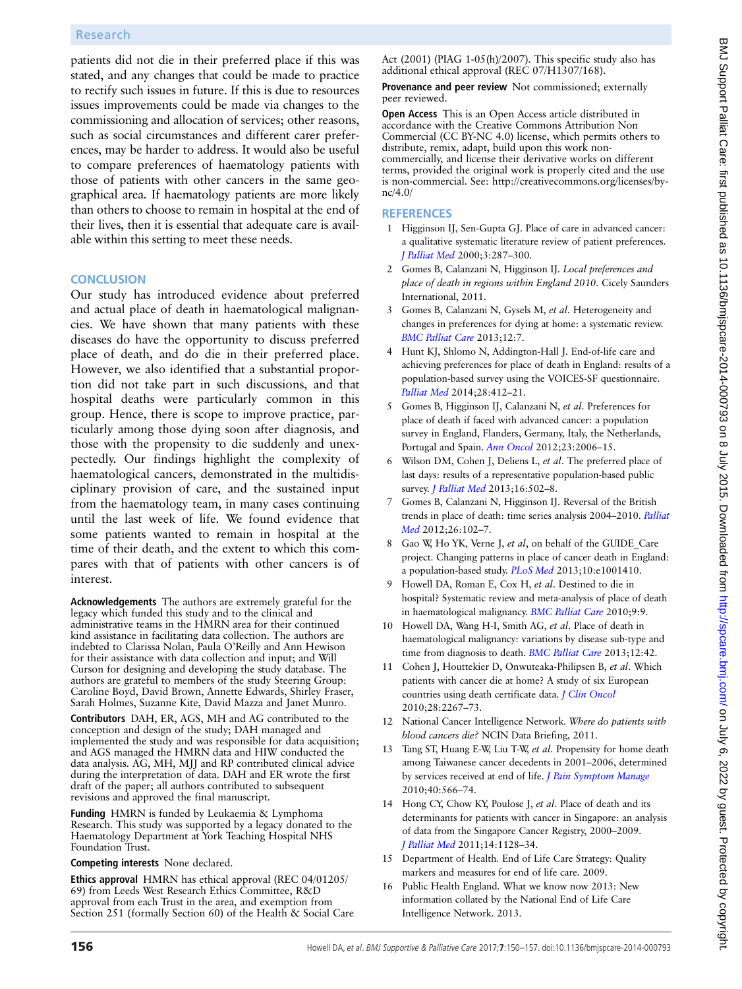## <span id="page-6-0"></span>Research

patients did not die in their preferred place if this was stated, and any changes that could be made to practice to rectify such issues in future. If this is due to resources issues improvements could be made via changes to the commissioning and allocation of services; other reasons, such as social circumstances and different carer preferences, may be harder to address. It would also be useful to compare preferences of haematology patients with those of patients with other cancers in the same geographical area. If haematology patients are more likely than others to choose to remain in hospital at the end of their lives, then it is essential that adequate care is available within this setting to meet these needs.

#### **CONCLUSION**

Our study has introduced evidence about preferred and actual place of death in haematological malignancies. We have shown that many patients with these diseases do have the opportunity to discuss preferred place of death, and do die in their preferred place. However, we also identified that a substantial proportion did not take part in such discussions, and that hospital deaths were particularly common in this group. Hence, there is scope to improve practice, particularly among those dying soon after diagnosis, and those with the propensity to die suddenly and unexpectedly. Our findings highlight the complexity of haematological cancers, demonstrated in the multidisciplinary provision of care, and the sustained input from the haematology team, in many cases continuing until the last week of life. We found evidence that some patients wanted to remain in hospital at the time of their death, and the extent to which this compares with that of patients with other cancers is of interest.

Acknowledgements The authors are extremely grateful for the legacy which funded this study and to the clinical and administrative teams in the HMRN area for their continued kind assistance in facilitating data collection. The authors are indebted to Clarissa Nolan, Paula O'Reilly and Ann Hewison for their assistance with data collection and input; and Will Curson for designing and developing the study database. The authors are grateful to members of the study Steering Group: Caroline Boyd, David Brown, Annette Edwards, Shirley Fraser, Sarah Holmes, Suzanne Kite, David Mazza and Janet Munro.

Contributors DAH, ER, AGS, MH and AG contributed to the conception and design of the study; DAH managed and implemented the study and was responsible for data acquisition; and AGS managed the HMRN data and HIW conducted the data analysis. AG, MH, MJJ and RP contributed clinical advice during the interpretation of data. DAH and ER wrote the first draft of the paper; all authors contributed to subsequent revisions and approved the final manuscript.

Funding HMRN is funded by Leukaemia & Lymphoma Research. This study was supported by a legacy donated to the Haematology Department at York Teaching Hospital NHS Foundation Trust.

#### Competing interests None declared.

Ethics approval HMRN has ethical approval (REC 04/01205/ 69) from Leeds West Research Ethics Committee, R&D approval from each Trust in the area, and exemption from Section 251 (formally Section 60) of the Health & Social Care

Act (2001) (PIAG 1-05(h)/2007). This specific study also has additional ethical approval (REC 07/H1307/168).

#### Provenance and peer review Not commissioned; externally peer reviewed.

Open Access This is an Open Access article distributed in accordance with the Creative Commons Attribution Non Commercial (CC BY-NC 4.0) license, which permits others to distribute, remix, adapt, build upon this work noncommercially, and license their derivative works on different terms, provided the original work is properly cited and the use is non-commercial. See: [http://creativecommons.org/licenses/by](http://creativecommons.org/licenses/by-nc/4.0/) $nc/4.0/$ 

#### **REFERENCES**

- 1 Higginson IJ, Sen-Gupta GJ. Place of care in advanced cancer: a qualitative systematic literature review of patient preferences. [J Palliat Med](http://dx.doi.org/10.1089/jpm.2000.3.287) 2000;3:287–300.
- 2 Gomes B, Calanzani N, Higginson IJ. Local preferences and place of death in regions within England 2010. Cicely Saunders International, 2011.
- 3 Gomes B, Calanzani N, Gysels M, et al. Heterogeneity and changes in preferences for dying at home: a systematic review. [BMC Palliat Care](http://dx.doi.org/10.1186/1472-684X-12-7) 2013;12:7.
- 4 Hunt KJ, Shlomo N, Addington-Hall J. End-of-life care and achieving preferences for place of death in England: results of a population-based survey using the VOICES-SF questionnaire. [Palliat Med](http://dx.doi.org/10.1177/0269216313512012) 2014;28:412–21.
- 5 Gomes B, Higginson IJ, Calanzani N, et al. Preferences for place of death if faced with advanced cancer: a population survey in England, Flanders, Germany, Italy, the Netherlands, Portugal and Spain. [Ann Oncol](http://dx.doi.org/10.1093/annonc/mdr602) 2012;23:2006-15.
- Wilson DM, Cohen J, Deliens L, et al. The preferred place of last days: results of a representative population-based public survey. *[J Palliat Med](http://dx.doi.org/10.1089/jpm.2012.0262)* 2013;16:502-8.
- 7 Gomes B, Calanzani N, Higginson IJ. Reversal of the British trends in place of death: time series analysis 2004–2010. [Palliat](http://dx.doi.org/10.1177/0269216311432329) [Med](http://dx.doi.org/10.1177/0269216311432329) 2012;26:102–7.
- 8 Gao W, Ho YK, Verne J, et al, on behalf of the GUIDE Care project. Changing patterns in place of cancer death in England: a population-based study. [PLoS Med](http://dx.doi.org/10.1371/journal.pmed.1001410) 2013;10:e1001410.
- Howell DA, Roman E, Cox H, et al. Destined to die in hospital? Systematic review and meta-analysis of place of death in haematological malignancy. [BMC Palliat Care](http://dx.doi.org/10.1186/1472-684X-9-9) 2010;9:9.
- Howell DA, Wang H-I, Smith AG, et al. Place of death in haematological malignancy: variations by disease sub-type and time from diagnosis to death. [BMC Palliat Care](http://dx.doi.org/10.1186/1472-684X-12-42) 2013;12:42.
- 11 Cohen J, Houttekier D, Onwuteaka-Philipsen B, et al. Which patients with cancer die at home? A study of six European countries using death certificate data. [J Clin Oncol](http://dx.doi.org/10.1200/JCO.2009.23.2850) 2010;28:2267–73.
- 12 National Cancer Intelligence Network. Where do patients with blood cancers die? NCIN Data Briefing, 2011.
- 13 Tang ST, Huang E-W, Liu T-W, et al. Propensity for home death among Taiwanese cancer decedents in 2001–2006, determined by services received at end of life. [J Pain Symptom Manage](http://dx.doi.org/10.1016/j.jpainsymman.2010.01.020) 2010;40:566–74.
- 14 Hong CY, Chow KY, Poulose J, et al. Place of death and its determinants for patients with cancer in Singapore: an analysis of data from the Singapore Cancer Registry, 2000–2009. [J Palliat Med](http://dx.doi.org/10.1089/jpm.2011.0092) 2011;14:1128–34.
- 15 Department of Health. End of Life Care Strategy: Quality markers and measures for end of life care. 2009.
- 16 Public Health England. What we know now 2013: New information collated by the National End of Life Care Intelligence Network. 2013.